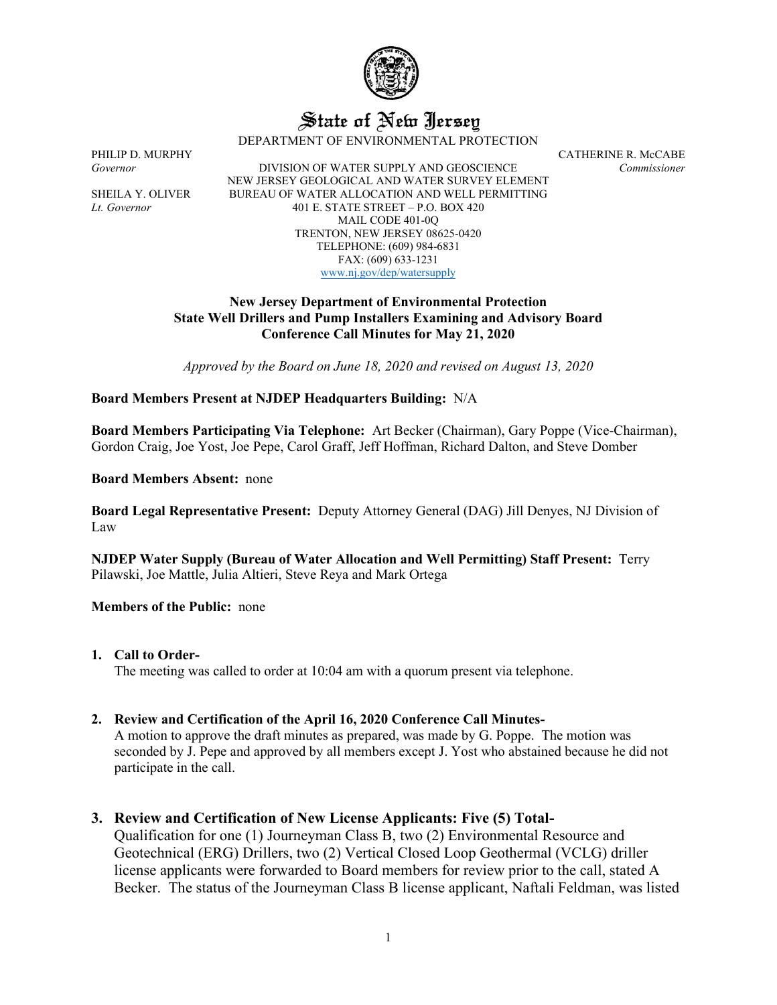

# State of New Jersey

DEPARTMENT OF ENVIRONMENTAL PROTECTION

PHILIP D. MURPHY CATHERINE R. McCABE *Governor* DIVISION OF WATER SUPPLY AND GEOSCIENCE *Commissioner* NEW JERSEY GEOLOGICAL AND WATER SURVEY ELEMENT SHEILA Y. OLIVER BUREAU OF WATER ALLOCATION AND WELL PERMITTING *Lt. Governor* 401 E. STATE STREET – P.O. BOX 420 MAIL CODE 401-0Q TRENTON, NEW JERSEY 08625-0420 TELEPHONE: (609) 984-6831 FAX: (609) 633-1231 [www.nj.gov/dep/watersupply](http://www.nj.gov/dep/watersupply)

## **New Jersey Department of Environmental Protection State Well Drillers and Pump Installers Examining and Advisory Board Conference Call Minutes for May 21, 2020**

*Approved by the Board on June 18, 2020 and revised on August 13, 2020*

## **Board Members Present at NJDEP Headquarters Building:** N/A

**Board Members Participating Via Telephone:** Art Becker (Chairman), Gary Poppe (Vice-Chairman), Gordon Craig, Joe Yost, Joe Pepe, Carol Graff, Jeff Hoffman, Richard Dalton, and Steve Domber

**Board Members Absent:** none

**Board Legal Representative Present:** Deputy Attorney General (DAG) Jill Denyes, NJ Division of Law

**NJDEP Water Supply (Bureau of Water Allocation and Well Permitting) Staff Present:** Terry Pilawski, Joe Mattle, Julia Altieri, Steve Reya and Mark Ortega

**Members of the Public:** none

## **1. Call to Order-**

The meeting was called to order at 10:04 am with a quorum present via telephone.

## **2. Review and Certification of the April 16, 2020 Conference Call Minutes-**

A motion to approve the draft minutes as prepared, was made by G. Poppe. The motion was seconded by J. Pepe and approved by all members except J. Yost who abstained because he did not participate in the call.

## **3. Review and Certification of New License Applicants: Five (5) Total-**

Qualification for one (1) Journeyman Class B, two (2) Environmental Resource and Geotechnical (ERG) Drillers, two (2) Vertical Closed Loop Geothermal (VCLG) driller license applicants were forwarded to Board members for review prior to the call, stated A Becker. The status of the Journeyman Class B license applicant, Naftali Feldman, was listed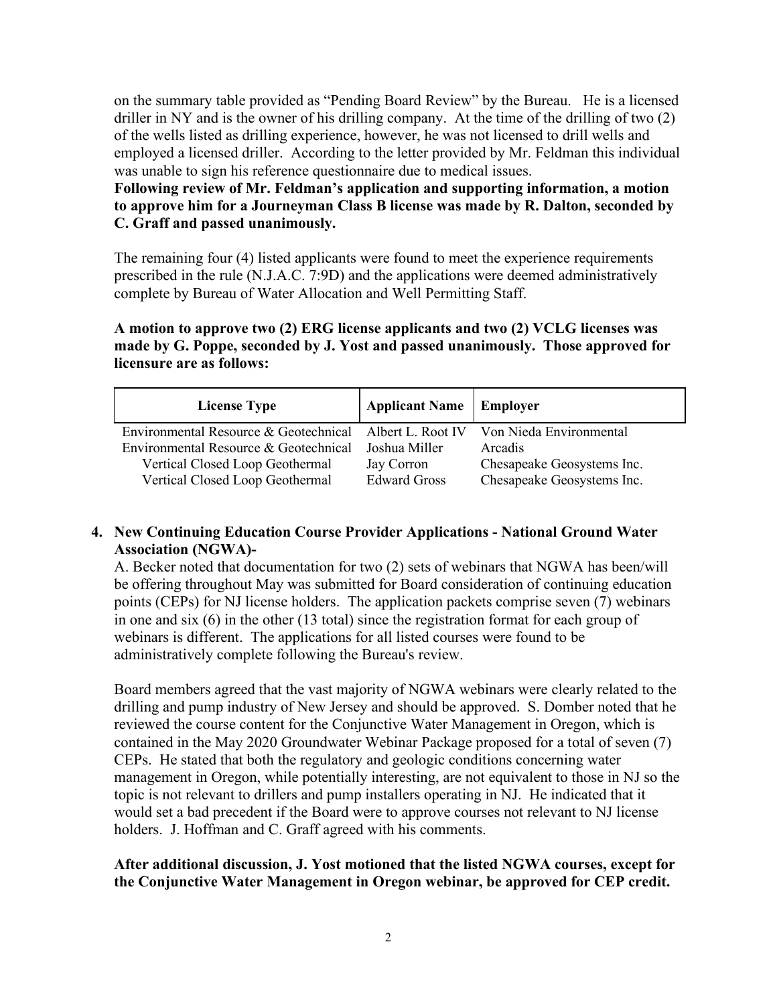on the summary table provided as "Pending Board Review" by the Bureau. He is a licensed driller in NY and is the owner of his drilling company. At the time of the drilling of two (2) of the wells listed as drilling experience, however, he was not licensed to drill wells and employed a licensed driller. According to the letter provided by Mr. Feldman this individual was unable to sign his reference questionnaire due to medical issues.

# **Following review of Mr. Feldman's application and supporting information, a motion to approve him for a Journeyman Class B license was made by R. Dalton, seconded by C. Graff and passed unanimously.**

The remaining four (4) listed applicants were found to meet the experience requirements prescribed in the rule (N.J.A.C. 7:9D) and the applications were deemed administratively complete by Bureau of Water Allocation and Well Permitting Staff.

# **A motion to approve two (2) ERG license applicants and two (2) VCLG licenses was made by G. Poppe, seconded by J. Yost and passed unanimously. Those approved for licensure are as follows:**

| <b>License Type</b>                                                             | <b>Applicant Name</b>   Employer |                            |
|---------------------------------------------------------------------------------|----------------------------------|----------------------------|
| Environmental Resource & Geotechnical Albert L. Root IV Von Nieda Environmental |                                  |                            |
| Environmental Resource & Geotechnical                                           | - Joshua Miller                  | Arcadis                    |
| Vertical Closed Loop Geothermal                                                 | Jay Corron                       | Chesapeake Geosystems Inc. |
| Vertical Closed Loop Geothermal                                                 | <b>Edward Gross</b>              | Chesapeake Geosystems Inc. |

# **4. New Continuing Education Course Provider Applications - National Ground Water Association (NGWA)-**

A. Becker noted that documentation for two (2) sets of webinars that NGWA has been/will be offering throughout May was submitted for Board consideration of continuing education points (CEPs) for NJ license holders. The application packets comprise seven (7) webinars in one and six (6) in the other (13 total) since the registration format for each group of webinars is different. The applications for all listed courses were found to be administratively complete following the Bureau's review.

Board members agreed that the vast majority of NGWA webinars were clearly related to the drilling and pump industry of New Jersey and should be approved. S. Domber noted that he reviewed the course content for the Conjunctive Water Management in Oregon, which is contained in the May 2020 Groundwater Webinar Package proposed for a total of seven (7) CEPs. He stated that both the regulatory and geologic conditions concerning water management in Oregon, while potentially interesting, are not equivalent to those in NJ so the topic is not relevant to drillers and pump installers operating in NJ. He indicated that it would set a bad precedent if the Board were to approve courses not relevant to NJ license holders. J. Hoffman and C. Graff agreed with his comments.

## **After additional discussion, J. Yost motioned that the listed NGWA courses, except for the Conjunctive Water Management in Oregon webinar, be approved for CEP credit.**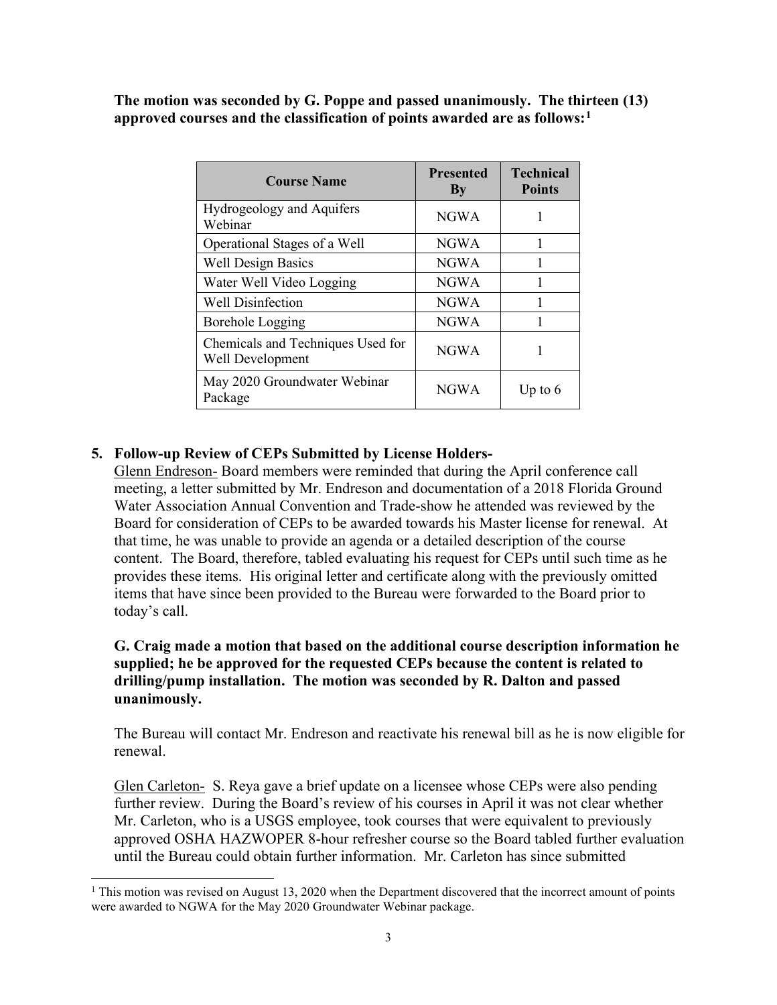**The motion was seconded by G. Poppe and passed unanimously. The thirteen (13) approved courses and the classification of points awarded are as follows:[1](#page-2-0)**

| <b>Course Name</b>                                    | <b>Presented</b><br>By | <b>Technical</b><br><b>Points</b> |
|-------------------------------------------------------|------------------------|-----------------------------------|
| Hydrogeology and Aquifers<br>Webinar                  | <b>NGWA</b>            |                                   |
| Operational Stages of a Well                          | <b>NGWA</b>            |                                   |
| <b>Well Design Basics</b>                             | <b>NGWA</b>            |                                   |
| Water Well Video Logging                              | <b>NGWA</b>            |                                   |
| <b>Well Disinfection</b>                              | <b>NGWA</b>            |                                   |
| Borehole Logging                                      | <b>NGWA</b>            |                                   |
| Chemicals and Techniques Used for<br>Well Development | <b>NGWA</b>            |                                   |
| May 2020 Groundwater Webinar<br>Package               | <b>NGWA</b>            | Up to $6$                         |

# **5. Follow-up Review of CEPs Submitted by License Holders-**

Glenn Endreson- Board members were reminded that during the April conference call meeting, a letter submitted by Mr. Endreson and documentation of a 2018 Florida Ground Water Association Annual Convention and Trade-show he attended was reviewed by the Board for consideration of CEPs to be awarded towards his Master license for renewal. At that time, he was unable to provide an agenda or a detailed description of the course content. The Board, therefore, tabled evaluating his request for CEPs until such time as he provides these items. His original letter and certificate along with the previously omitted items that have since been provided to the Bureau were forwarded to the Board prior to today's call.

# **G. Craig made a motion that based on the additional course description information he supplied; he be approved for the requested CEPs because the content is related to drilling/pump installation. The motion was seconded by R. Dalton and passed unanimously.**

The Bureau will contact Mr. Endreson and reactivate his renewal bill as he is now eligible for renewal.

Glen Carleton- S. Reya gave a brief update on a licensee whose CEPs were also pending further review. During the Board's review of his courses in April it was not clear whether Mr. Carleton, who is a USGS employee, took courses that were equivalent to previously approved OSHA HAZWOPER 8-hour refresher course so the Board tabled further evaluation until the Bureau could obtain further information. Mr. Carleton has since submitted

<span id="page-2-0"></span><sup>&</sup>lt;sup>1</sup> This motion was revised on August 13, 2020 when the Department discovered that the incorrect amount of points were awarded to NGWA for the May 2020 Groundwater Webinar package.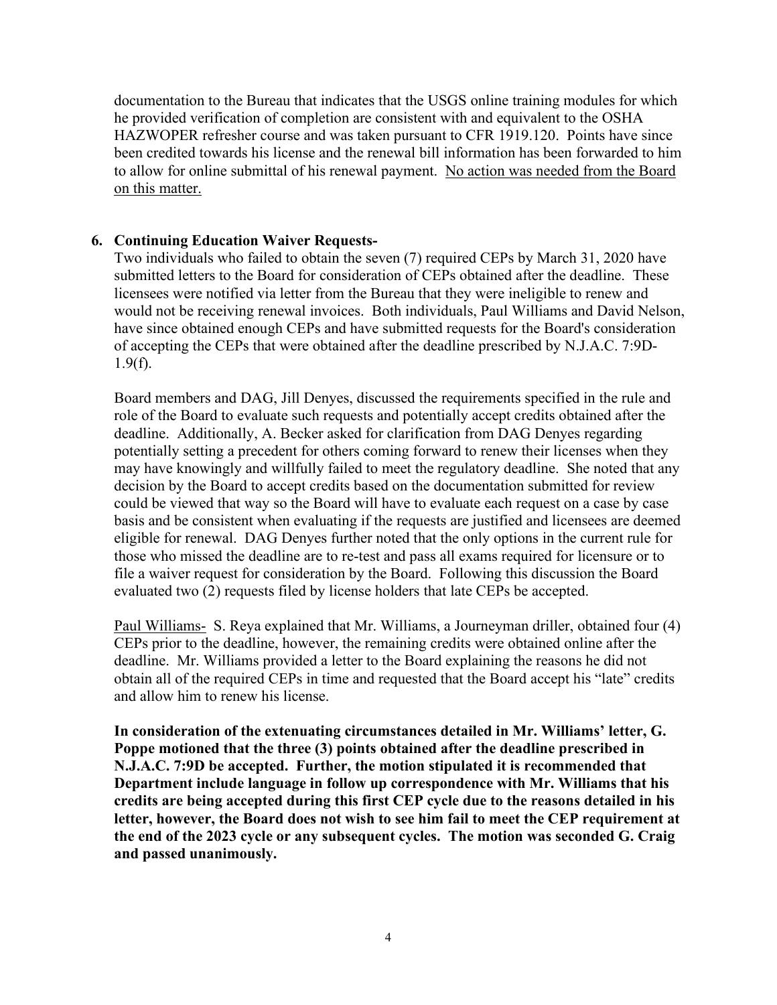documentation to the Bureau that indicates that the USGS online training modules for which he provided verification of completion are consistent with and equivalent to the OSHA HAZWOPER refresher course and was taken pursuant to CFR 1919.120. Points have since been credited towards his license and the renewal bill information has been forwarded to him to allow for online submittal of his renewal payment. No action was needed from the Board on this matter.

# **6. Continuing Education Waiver Requests-**

Two individuals who failed to obtain the seven (7) required CEPs by March 31, 2020 have submitted letters to the Board for consideration of CEPs obtained after the deadline. These licensees were notified via letter from the Bureau that they were ineligible to renew and would not be receiving renewal invoices. Both individuals, Paul Williams and David Nelson, have since obtained enough CEPs and have submitted requests for the Board's consideration of accepting the CEPs that were obtained after the deadline prescribed by N.J.A.C. 7:9D- $1.9(f)$ .

Board members and DAG, Jill Denyes, discussed the requirements specified in the rule and role of the Board to evaluate such requests and potentially accept credits obtained after the deadline. Additionally, A. Becker asked for clarification from DAG Denyes regarding potentially setting a precedent for others coming forward to renew their licenses when they may have knowingly and willfully failed to meet the regulatory deadline. She noted that any decision by the Board to accept credits based on the documentation submitted for review could be viewed that way so the Board will have to evaluate each request on a case by case basis and be consistent when evaluating if the requests are justified and licensees are deemed eligible for renewal. DAG Denyes further noted that the only options in the current rule for those who missed the deadline are to re-test and pass all exams required for licensure or to file a waiver request for consideration by the Board. Following this discussion the Board evaluated two (2) requests filed by license holders that late CEPs be accepted.

Paul Williams- S. Reya explained that Mr. Williams, a Journeyman driller, obtained four (4) CEPs prior to the deadline, however, the remaining credits were obtained online after the deadline. Mr. Williams provided a letter to the Board explaining the reasons he did not obtain all of the required CEPs in time and requested that the Board accept his "late" credits and allow him to renew his license.

**In consideration of the extenuating circumstances detailed in Mr. Williams' letter, G. Poppe motioned that the three (3) points obtained after the deadline prescribed in N.J.A.C. 7:9D be accepted. Further, the motion stipulated it is recommended that Department include language in follow up correspondence with Mr. Williams that his credits are being accepted during this first CEP cycle due to the reasons detailed in his letter, however, the Board does not wish to see him fail to meet the CEP requirement at the end of the 2023 cycle or any subsequent cycles. The motion was seconded G. Craig and passed unanimously.**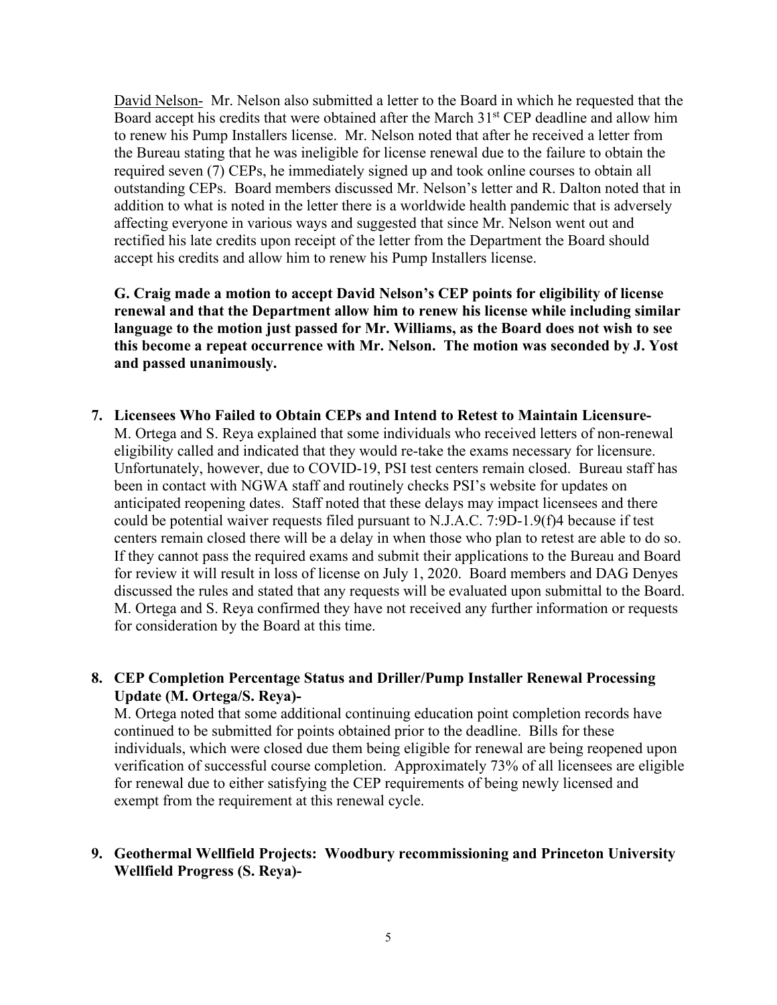David Nelson- Mr. Nelson also submitted a letter to the Board in which he requested that the Board accept his credits that were obtained after the March 31<sup>st</sup> CEP deadline and allow him to renew his Pump Installers license. Mr. Nelson noted that after he received a letter from the Bureau stating that he was ineligible for license renewal due to the failure to obtain the required seven (7) CEPs, he immediately signed up and took online courses to obtain all outstanding CEPs. Board members discussed Mr. Nelson's letter and R. Dalton noted that in addition to what is noted in the letter there is a worldwide health pandemic that is adversely affecting everyone in various ways and suggested that since Mr. Nelson went out and rectified his late credits upon receipt of the letter from the Department the Board should accept his credits and allow him to renew his Pump Installers license.

**G. Craig made a motion to accept David Nelson's CEP points for eligibility of license renewal and that the Department allow him to renew his license while including similar language to the motion just passed for Mr. Williams, as the Board does not wish to see this become a repeat occurrence with Mr. Nelson. The motion was seconded by J. Yost and passed unanimously.**

**7. Licensees Who Failed to Obtain CEPs and Intend to Retest to Maintain Licensure-**M. Ortega and S. Reya explained that some individuals who received letters of non-renewal eligibility called and indicated that they would re-take the exams necessary for licensure. Unfortunately, however, due to COVID-19, PSI test centers remain closed. Bureau staff has been in contact with NGWA staff and routinely checks PSI's website for updates on anticipated reopening dates. Staff noted that these delays may impact licensees and there could be potential waiver requests filed pursuant to N.J.A.C. 7:9D-1.9(f)4 because if test centers remain closed there will be a delay in when those who plan to retest are able to do so. If they cannot pass the required exams and submit their applications to the Bureau and Board for review it will result in loss of license on July 1, 2020. Board members and DAG Denyes discussed the rules and stated that any requests will be evaluated upon submittal to the Board. M. Ortega and S. Reya confirmed they have not received any further information or requests for consideration by the Board at this time.

## **8. CEP Completion Percentage Status and Driller/Pump Installer Renewal Processing Update (M. Ortega/S. Reya)-**

M. Ortega noted that some additional continuing education point completion records have continued to be submitted for points obtained prior to the deadline. Bills for these individuals, which were closed due them being eligible for renewal are being reopened upon verification of successful course completion. Approximately 73% of all licensees are eligible for renewal due to either satisfying the CEP requirements of being newly licensed and exempt from the requirement at this renewal cycle.

## **9. Geothermal Wellfield Projects: Woodbury recommissioning and Princeton University Wellfield Progress (S. Reya)-**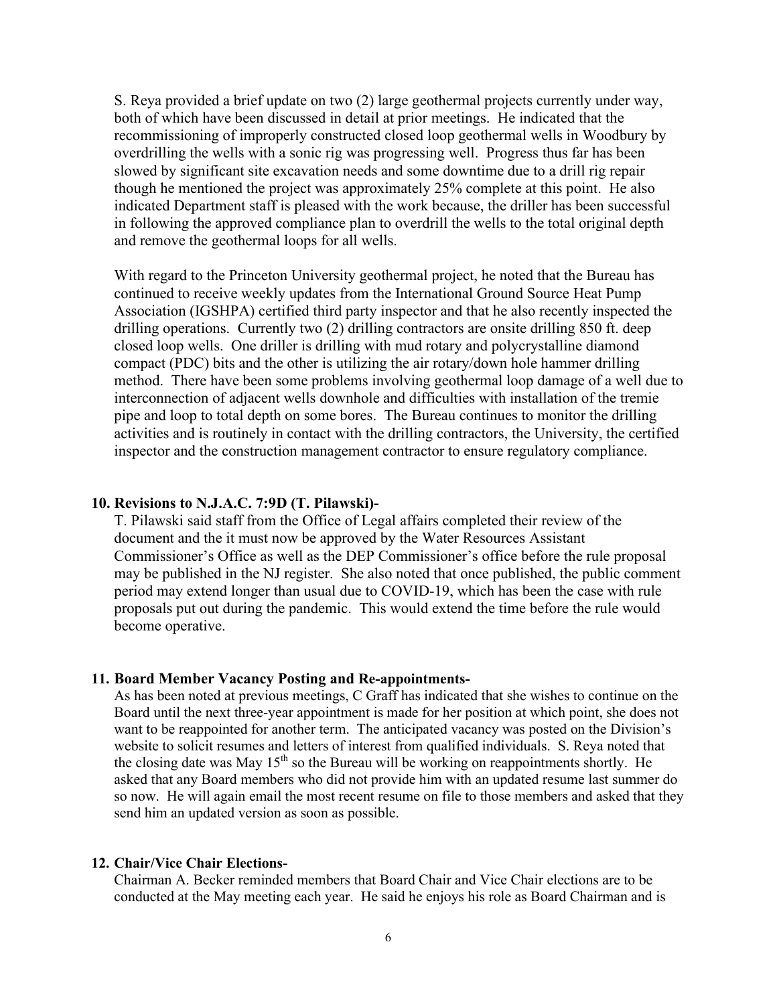S. Reya provided a brief update on two (2) large geothermal projects currently under way, both of which have been discussed in detail at prior meetings. He indicated that the recommissioning of improperly constructed closed loop geothermal wells in Woodbury by overdrilling the wells with a sonic rig was progressing well. Progress thus far has been slowed by significant site excavation needs and some downtime due to a drill rig repair though he mentioned the project was approximately 25% complete at this point. He also indicated Department staff is pleased with the work because, the driller has been successful in following the approved compliance plan to overdrill the wells to the total original depth and remove the geothermal loops for all wells.

With regard to the Princeton University geothermal project, he noted that the Bureau has continued to receive weekly updates from the International Ground Source Heat Pump Association (IGSHPA) certified third party inspector and that he also recently inspected the drilling operations. Currently two (2) drilling contractors are onsite drilling 850 ft. deep closed loop wells. One driller is drilling with mud rotary and polycrystalline diamond compact (PDC) bits and the other is utilizing the air rotary/down hole hammer drilling method. There have been some problems involving geothermal loop damage of a well due to interconnection of adjacent wells downhole and difficulties with installation of the tremie pipe and loop to total depth on some bores. The Bureau continues to monitor the drilling activities and is routinely in contact with the drilling contractors, the University, the certified inspector and the construction management contractor to ensure regulatory compliance.

## **10. Revisions to N.J.A.C. 7:9D (T. Pilawski)-**

T. Pilawski said staff from the Office of Legal affairs completed their review of the document and the it must now be approved by the Water Resources Assistant Commissioner's Office as well as the DEP Commissioner's office before the rule proposal may be published in the NJ register. She also noted that once published, the public comment period may extend longer than usual due to COVID-19, which has been the case with rule proposals put out during the pandemic. This would extend the time before the rule would become operative.

#### **11. Board Member Vacancy Posting and Re-appointments-**

As has been noted at previous meetings, C Graff has indicated that she wishes to continue on the Board until the next three-year appointment is made for her position at which point, she does not want to be reappointed for another term. The anticipated vacancy was posted on the Division's website to solicit resumes and letters of interest from qualified individuals. S. Reya noted that the closing date was May  $15<sup>th</sup>$  so the Bureau will be working on reappointments shortly. He asked that any Board members who did not provide him with an updated resume last summer do so now. He will again email the most recent resume on file to those members and asked that they send him an updated version as soon as possible.

## **12. Chair/Vice Chair Elections-**

Chairman A. Becker reminded members that Board Chair and Vice Chair elections are to be conducted at the May meeting each year. He said he enjoys his role as Board Chairman and is